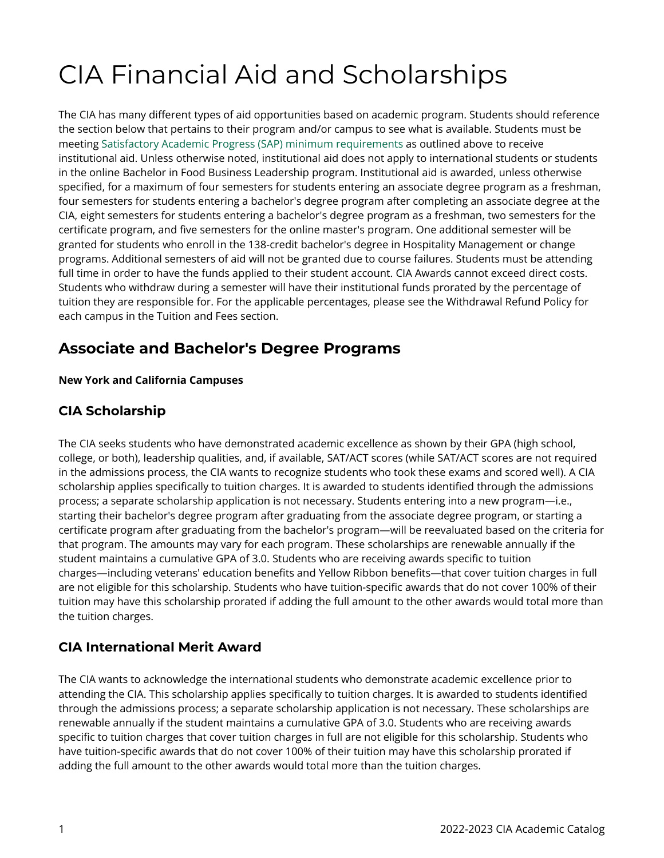# CIA Financial Aid and Scholarships

The CIA has many different types of aid opportunities based on academic program. Students should reference the section below that pertains to their program and/or campus to see what is available. Students must be meeting [Satisfactory Academic Progress \(SAP\) minimum requirements](https://live-cia-catalog22.cleancatalog.io/satisfactory-academic-progressundergraduate-and-graduate) as outlined above to receive institutional aid. Unless otherwise noted, institutional aid does not apply to international students or students in the online Bachelor in Food Business Leadership program. Institutional aid is awarded, unless otherwise specified, for a maximum of four semesters for students entering an associate degree program as a freshman, four semesters for students entering a bachelor's degree program after completing an associate degree at the CIA, eight semesters for students entering a bachelor's degree program as a freshman, two semesters for the certificate program, and five semesters for the online master's program. One additional semester will be granted for students who enroll in the 138-credit bachelor's degree in Hospitality Management or change programs. Additional semesters of aid will not be granted due to course failures. Students must be attending full time in order to have the funds applied to their student account. CIA Awards cannot exceed direct costs. Students who withdraw during a semester will have their institutional funds prorated by the percentage of tuition they are responsible for. For the applicable percentages, please see the Withdrawal Refund Policy for each campus in the Tuition and Fees section.

# **Associate and Bachelor's Degree Programs**

#### **New York and California Campuses**

#### **CIA Scholarship**

The CIA seeks students who have demonstrated academic excellence as shown by their GPA (high school, college, or both), leadership qualities, and, if available, SAT/ACT scores (while SAT/ACT scores are not required in the admissions process, the CIA wants to recognize students who took these exams and scored well). A CIA scholarship applies specifically to tuition charges. It is awarded to students identified through the admissions process; a separate scholarship application is not necessary. Students entering into a new program—i.e., starting their bachelor's degree program after graduating from the associate degree program, or starting a certificate program after graduating from the bachelor's program—will be reevaluated based on the criteria for that program. The amounts may vary for each program. These scholarships are renewable annually if the student maintains a cumulative GPA of 3.0. Students who are receiving awards specific to tuition charges—including veterans' education benefits and Yellow Ribbon benefits—that cover tuition charges in full are not eligible for this scholarship. Students who have tuition-specific awards that do not cover 100% of their tuition may have this scholarship prorated if adding the full amount to the other awards would total more than the tuition charges.

#### **CIA International Merit Award**

The CIA wants to acknowledge the international students who demonstrate academic excellence prior to attending the CIA. This scholarship applies specifically to tuition charges. It is awarded to students identified through the admissions process; a separate scholarship application is not necessary. These scholarships are renewable annually if the student maintains a cumulative GPA of 3.0. Students who are receiving awards specific to tuition charges that cover tuition charges in full are not eligible for this scholarship. Students who have tuition-specific awards that do not cover 100% of their tuition may have this scholarship prorated if adding the full amount to the other awards would total more than the tuition charges.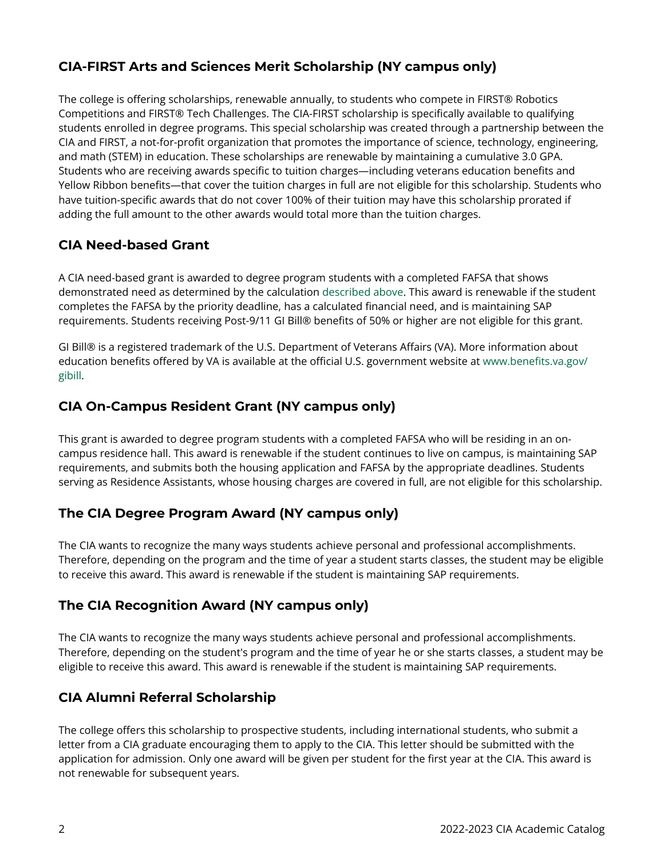#### **CIA-FIRST Arts and Sciences Merit Scholarship (NY campus only)**

The college is offering scholarships, renewable annually, to students who compete in FIRST® Robotics Competitions and FIRST® Tech Challenges. The CIA-FIRST scholarship is specifically available to qualifying students enrolled in degree programs. This special scholarship was created through a partnership between the CIA and FIRST, a not-for-profit organization that promotes the importance of science, technology, engineering, and math (STEM) in education. These scholarships are renewable by maintaining a cumulative 3.0 GPA. Students who are receiving awards specific to tuition charges—including veterans education benefits and Yellow Ribbon benefits—that cover the tuition charges in full are not eligible for this scholarship. Students who have tuition-specific awards that do not cover 100% of their tuition may have this scholarship prorated if adding the full amount to the other awards would total more than the tuition charges.

#### **CIA Need-based Grant**

A CIA need-based grant is awarded to degree program students with a completed FAFSA that shows demonstrated need as determined by the calculation [described above](https://live-cia-catalog22.cleancatalog.io/how-need-is-determined). This award is renewable if the student completes the FAFSA by the priority deadline, has a calculated financial need, and is maintaining SAP requirements. Students receiving Post-9/11 GI Bill® benefits of 50% or higher are not eligible for this grant.

GI Bill® is a registered trademark of the U.S. Department of Veterans Affairs (VA). More information about education benefits offered by VA is available at the official U.S. government website at [www.benefits.va.gov/](http://www.benefits.va.gov/gibill) [gibill](http://www.benefits.va.gov/gibill).

#### **CIA On-Campus Resident Grant (NY campus only)**

This grant is awarded to degree program students with a completed FAFSA who will be residing in an oncampus residence hall. This award is renewable if the student continues to live on campus, is maintaining SAP requirements, and submits both the housing application and FAFSA by the appropriate deadlines. Students serving as Residence Assistants, whose housing charges are covered in full, are not eligible for this scholarship.

#### **The CIA Degree Program Award (NY campus only)**

The CIA wants to recognize the many ways students achieve personal and professional accomplishments. Therefore, depending on the program and the time of year a student starts classes, the student may be eligible to receive this award. This award is renewable if the student is maintaining SAP requirements.

#### **The CIA Recognition Award (NY campus only)**

The CIA wants to recognize the many ways students achieve personal and professional accomplishments. Therefore, depending on the student's program and the time of year he or she starts classes, a student may be eligible to receive this award. This award is renewable if the student is maintaining SAP requirements.

#### **CIA Alumni Referral Scholarship**

The college offers this scholarship to prospective students, including international students, who submit a letter from a CIA graduate encouraging them to apply to the CIA. This letter should be submitted with the application for admission. Only one award will be given per student for the first year at the CIA. This award is not renewable for subsequent years.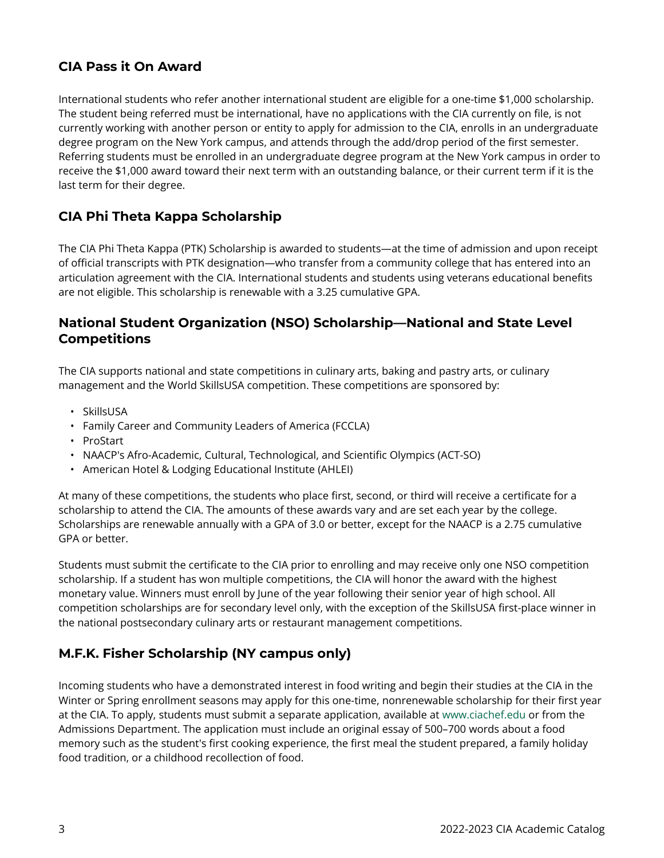#### **CIA Pass it On Award**

International students who refer another international student are eligible for a one-time \$1,000 scholarship. The student being referred must be international, have no applications with the CIA currently on file, is not currently working with another person or entity to apply for admission to the CIA, enrolls in an undergraduate degree program on the New York campus, and attends through the add/drop period of the first semester. Referring students must be enrolled in an undergraduate degree program at the New York campus in order to receive the \$1,000 award toward their next term with an outstanding balance, or their current term if it is the last term for their degree.

#### **CIA Phi Theta Kappa Scholarship**

The CIA Phi Theta Kappa (PTK) Scholarship is awarded to students—at the time of admission and upon receipt of official transcripts with PTK designation—who transfer from a community college that has entered into an articulation agreement with the CIA. International students and students using veterans educational benefits are not eligible. This scholarship is renewable with a 3.25 cumulative GPA.

#### **National Student Organization (NSO) Scholarship—National and State Level Competitions**

The CIA supports national and state competitions in culinary arts, baking and pastry arts, or culinary management and the World SkillsUSA competition. These competitions are sponsored by:

- SkillsUSA
- Family Career and Community Leaders of America (FCCLA)
- ProStart
- NAACP's Afro-Academic, Cultural, Technological, and Scientific Olympics (ACT-SO)
- American Hotel & Lodging Educational Institute (AHLEI)

At many of these competitions, the students who place first, second, or third will receive a certificate for a scholarship to attend the CIA. The amounts of these awards vary and are set each year by the college. Scholarships are renewable annually with a GPA of 3.0 or better, except for the NAACP is a 2.75 cumulative GPA or better.

Students must submit the certificate to the CIA prior to enrolling and may receive only one NSO competition scholarship. If a student has won multiple competitions, the CIA will honor the award with the highest monetary value. Winners must enroll by June of the year following their senior year of high school. All competition scholarships are for secondary level only, with the exception of the SkillsUSA first-place winner in the national postsecondary culinary arts or restaurant management competitions.

#### **M.F.K. Fisher Scholarship (NY campus only)**

Incoming students who have a demonstrated interest in food writing and begin their studies at the CIA in the Winter or Spring enrollment seasons may apply for this one-time, nonrenewable scholarship for their first year at the CIA. To apply, students must submit a separate application, available at [www.ciachef.edu](https://www.ciachef.edu/) or from the Admissions Department. The application must include an original essay of 500–700 words about a food memory such as the student's first cooking experience, the first meal the student prepared, a family holiday food tradition, or a childhood recollection of food.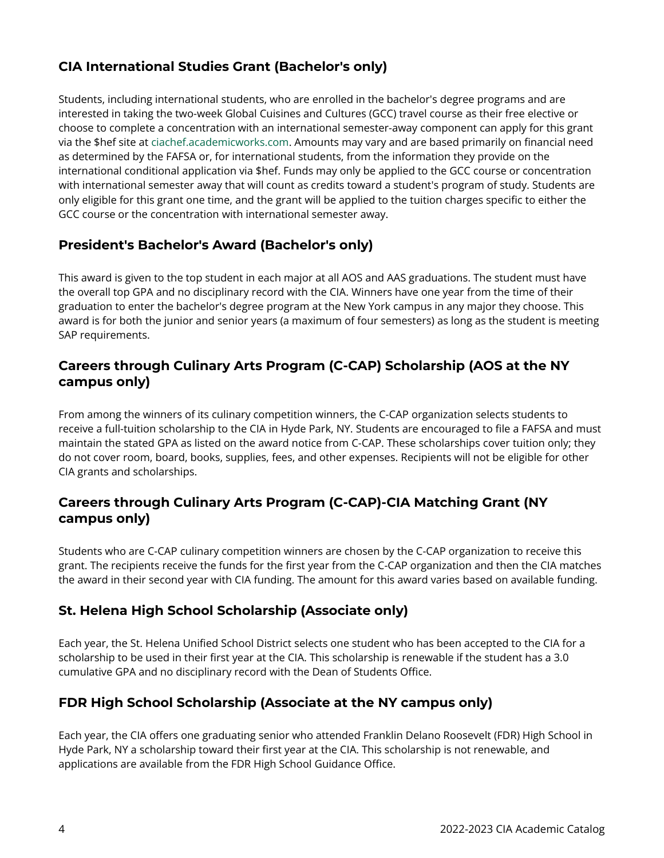#### **CIA International Studies Grant (Bachelor's only)**

Students, including international students, who are enrolled in the bachelor's degree programs and are interested in taking the two-week Global Cuisines and Cultures (GCC) travel course as their free elective or choose to complete a concentration with an international semester-away component can apply for this grant via the \$hef site at [ciachef.academicworks.com.](https://ciachef.academicworks.com/) Amounts may vary and are based primarily on financial need as determined by the FAFSA or, for international students, from the information they provide on the international conditional application via \$hef. Funds may only be applied to the GCC course or concentration with international semester away that will count as credits toward a student's program of study. Students are only eligible for this grant one time, and the grant will be applied to the tuition charges specific to either the GCC course or the concentration with international semester away.

### **President's Bachelor's Award (Bachelor's only)**

This award is given to the top student in each major at all AOS and AAS graduations. The student must have the overall top GPA and no disciplinary record with the CIA. Winners have one year from the time of their graduation to enter the bachelor's degree program at the New York campus in any major they choose. This award is for both the junior and senior years (a maximum of four semesters) as long as the student is meeting SAP requirements.

#### **Careers through Culinary Arts Program (C-CAP) Scholarship (AOS at the NY campus only)**

From among the winners of its culinary competition winners, the C-CAP organization selects students to receive a full-tuition scholarship to the CIA in Hyde Park, NY. Students are encouraged to file a FAFSA and must maintain the stated GPA as listed on the award notice from C-CAP. These scholarships cover tuition only; they do not cover room, board, books, supplies, fees, and other expenses. Recipients will not be eligible for other CIA grants and scholarships.

#### **Careers through Culinary Arts Program (C-CAP)-CIA Matching Grant (NY campus only)**

Students who are C-CAP culinary competition winners are chosen by the C-CAP organization to receive this grant. The recipients receive the funds for the first year from the C-CAP organization and then the CIA matches the award in their second year with CIA funding. The amount for this award varies based on available funding.

## **St. Helena High School Scholarship (Associate only)**

Each year, the St. Helena Unified School District selects one student who has been accepted to the CIA for a scholarship to be used in their first year at the CIA. This scholarship is renewable if the student has a 3.0 cumulative GPA and no disciplinary record with the Dean of Students Office.

## **FDR High School Scholarship (Associate at the NY campus only)**

Each year, the CIA offers one graduating senior who attended Franklin Delano Roosevelt (FDR) High School in Hyde Park, NY a scholarship toward their first year at the CIA. This scholarship is not renewable, and applications are available from the FDR High School Guidance Office.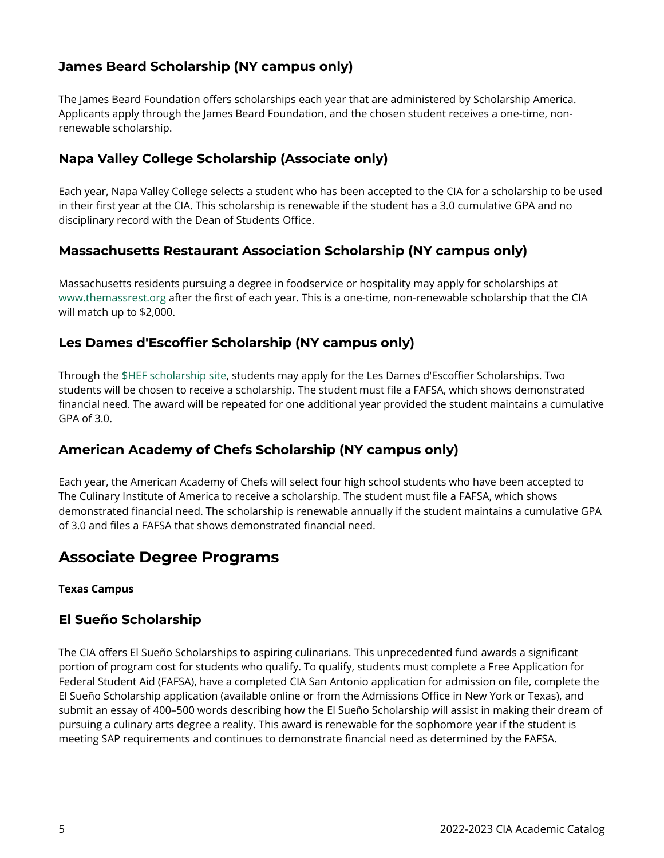#### **James Beard Scholarship (NY campus only)**

The James Beard Foundation offers scholarships each year that are administered by Scholarship America. Applicants apply through the James Beard Foundation, and the chosen student receives a one-time, nonrenewable scholarship.

#### **Napa Valley College Scholarship (Associate only)**

Each year, Napa Valley College selects a student who has been accepted to the CIA for a scholarship to be used in their first year at the CIA. This scholarship is renewable if the student has a 3.0 cumulative GPA and no disciplinary record with the Dean of Students Office.

#### **Massachusetts Restaurant Association Scholarship (NY campus only)**

Massachusetts residents pursuing a degree in foodservice or hospitality may apply for scholarships at [www.themassrest.org](http://www.themassrest.org/) after the first of each year. This is a one-time, non-renewable scholarship that the CIA will match up to \$2,000.

#### **Les Dames d'Escoffier Scholarship (NY campus only)**

Through the [\\$HEF scholarship site,](https://ciachef.academicworks.com/) students may apply for the Les Dames d'Escoffier Scholarships. Two students will be chosen to receive a scholarship. The student must file a FAFSA, which shows demonstrated financial need. The award will be repeated for one additional year provided the student maintains a cumulative GPA of 3.0.

#### **American Academy of Chefs Scholarship (NY campus only)**

Each year, the American Academy of Chefs will select four high school students who have been accepted to The Culinary Institute of America to receive a scholarship. The student must file a FAFSA, which shows demonstrated financial need. The scholarship is renewable annually if the student maintains a cumulative GPA of 3.0 and files a FAFSA that shows demonstrated financial need.

## **Associate Degree Programs**

#### **Texas Campus**

#### **El Sueño Scholarship**

The CIA offers El Sueño Scholarships to aspiring culinarians. This unprecedented fund awards a significant portion of program cost for students who qualify. To qualify, students must complete a Free Application for Federal Student Aid (FAFSA), have a completed CIA San Antonio application for admission on file, complete the El Sueño Scholarship application (available online or from the Admissions Office in New York or Texas), and submit an essay of 400–500 words describing how the El Sueño Scholarship will assist in making their dream of pursuing a culinary arts degree a reality. This award is renewable for the sophomore year if the student is meeting SAP requirements and continues to demonstrate financial need as determined by the FAFSA.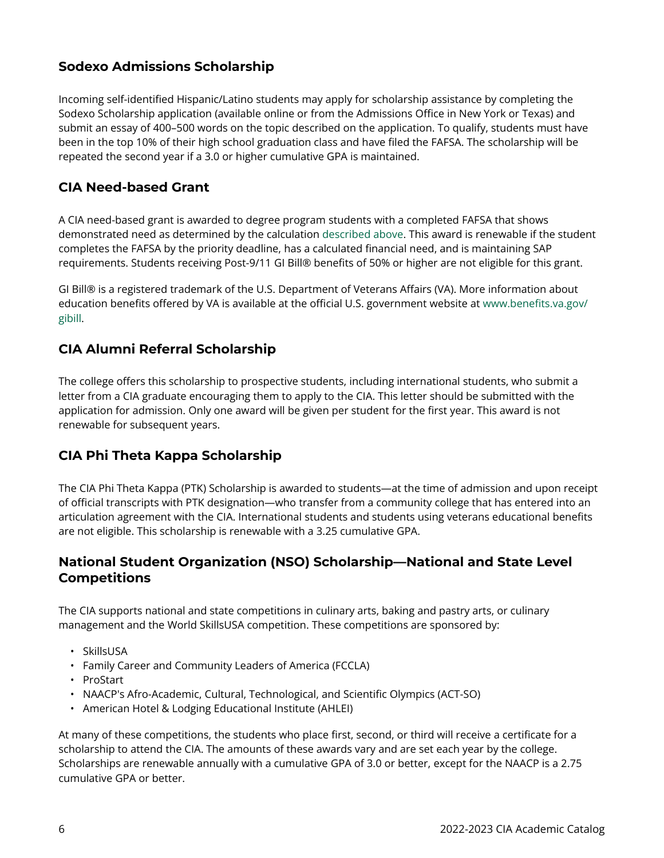#### **Sodexo Admissions Scholarship**

Incoming self-identified Hispanic/Latino students may apply for scholarship assistance by completing the Sodexo Scholarship application (available online or from the Admissions Office in New York or Texas) and submit an essay of 400–500 words on the topic described on the application. To qualify, students must have been in the top 10% of their high school graduation class and have filed the FAFSA. The scholarship will be repeated the second year if a 3.0 or higher cumulative GPA is maintained.

#### **CIA Need-based Grant**

A CIA need-based grant is awarded to degree program students with a completed FAFSA that shows demonstrated need as determined by the calculation [described above](https://live-cia-catalog22.cleancatalog.io/how-need-is-determined). This award is renewable if the student completes the FAFSA by the priority deadline, has a calculated financial need, and is maintaining SAP requirements. Students receiving Post-9/11 GI Bill® benefits of 50% or higher are not eligible for this grant.

GI Bill® is a registered trademark of the U.S. Department of Veterans Affairs (VA). More information about education benefits offered by VA is available at the official U.S. government website at [www.benefits.va.gov/](http://www.benefits.va.gov/gibill) [gibill](http://www.benefits.va.gov/gibill).

#### **CIA Alumni Referral Scholarship**

The college offers this scholarship to prospective students, including international students, who submit a letter from a CIA graduate encouraging them to apply to the CIA. This letter should be submitted with the application for admission. Only one award will be given per student for the first year. This award is not renewable for subsequent years.

#### **CIA Phi Theta Kappa Scholarship**

The CIA Phi Theta Kappa (PTK) Scholarship is awarded to students—at the time of admission and upon receipt of official transcripts with PTK designation—who transfer from a community college that has entered into an articulation agreement with the CIA. International students and students using veterans educational benefits are not eligible. This scholarship is renewable with a 3.25 cumulative GPA.

#### **National Student Organization (NSO) Scholarship—National and State Level Competitions**

The CIA supports national and state competitions in culinary arts, baking and pastry arts, or culinary management and the World SkillsUSA competition. These competitions are sponsored by:

- SkillsUSA
- Family Career and Community Leaders of America (FCCLA)
- ProStart
- NAACP's Afro-Academic, Cultural, Technological, and Scientific Olympics (ACT-SO)
- American Hotel & Lodging Educational Institute (AHLEI)

At many of these competitions, the students who place first, second, or third will receive a certificate for a scholarship to attend the CIA. The amounts of these awards vary and are set each year by the college. Scholarships are renewable annually with a cumulative GPA of 3.0 or better, except for the NAACP is a 2.75 cumulative GPA or better.